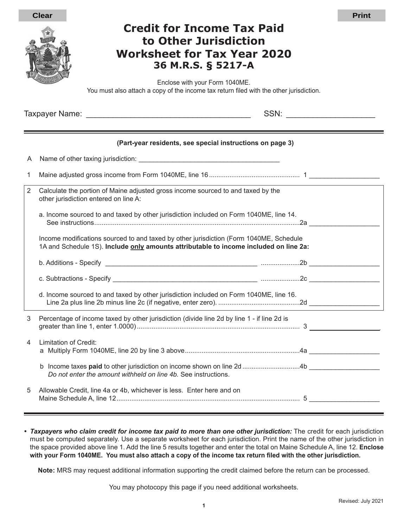|                                                           | <b>Worksheet for Tax Year 2020</b><br>36 M.R.S. § 5217-A                                                                                                                        |  |  |  |
|-----------------------------------------------------------|---------------------------------------------------------------------------------------------------------------------------------------------------------------------------------|--|--|--|
|                                                           | Enclose with your Form 1040ME.<br>You must also attach a copy of the income tax return filed with the other jurisdiction.                                                       |  |  |  |
|                                                           | SSN:                                                                                                                                                                            |  |  |  |
| (Part-year residents, see special instructions on page 3) |                                                                                                                                                                                 |  |  |  |
| A                                                         |                                                                                                                                                                                 |  |  |  |
| 1                                                         |                                                                                                                                                                                 |  |  |  |
| 2                                                         | Calculate the portion of Maine adjusted gross income sourced to and taxed by the<br>other jurisdiction entered on line A:                                                       |  |  |  |
|                                                           | a. Income sourced to and taxed by other jurisdiction included on Form 1040ME, line 14.                                                                                          |  |  |  |
|                                                           | Income modifications sourced to and taxed by other jurisdiction (Form 1040ME, Schedule<br>1A and Schedule 1S). Include only amounts attributable to income included on line 2a: |  |  |  |
|                                                           |                                                                                                                                                                                 |  |  |  |
|                                                           |                                                                                                                                                                                 |  |  |  |
|                                                           | d. Income sourced to and taxed by other jurisdiction included on Form 1040ME, line 16.                                                                                          |  |  |  |
| 3                                                         | Percentage of income taxed by other jurisdiction (divide line 2d by line 1 - if line 2d is                                                                                      |  |  |  |
|                                                           | 4 Limitation of Credit:                                                                                                                                                         |  |  |  |
|                                                           | Do not enter the amount withheld on line 4b. See instructions.                                                                                                                  |  |  |  |
| 5                                                         | Allowable Credit, line 4a or 4b, whichever is less. Enter here and on                                                                                                           |  |  |  |

**Credit for Income Tax Paid to Other Jurisdiction**

**Clear Print**

*• Taxpayers who claim credit for income tax paid to more than one other jurisdiction:* The credit for each jurisdiction must be computed separately. Use a separate worksheet for each jurisdiction. Print the name of the other jurisdiction in the space provided above line 1. Add the line 5 results together and enter the total on Maine Schedule A, line 12. **Enclose with your Form 1040ME. You must also attach a copy of the income tax return filed with the other jurisdiction.**

**Note:** MRS may request additional information supporting the credit claimed before the return can be processed.

You may photocopy this page if you need additional worksheets.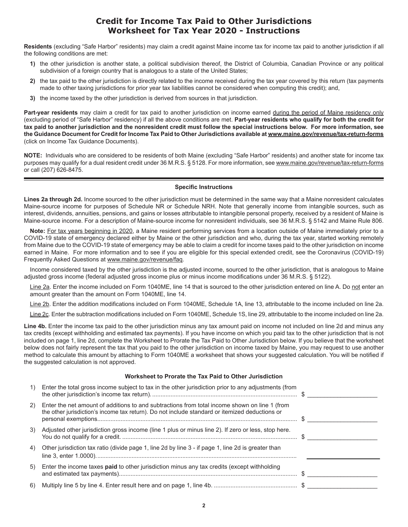# **Credit for Income Tax Paid to Other Jurisdictions Worksheet for Tax Year 2020 - Instructions**

**Residents** (excluding "Safe Harbor" residents) may claim a credit against Maine income tax for income tax paid to another jurisdiction if all the following conditions are met:

- **1)** the other jurisdiction is another state, a political subdivision thereof, the District of Columbia, Canadian Province or any political subdivision of a foreign country that is analogous to a state of the United States;
- **2)** the tax paid to the other jurisdiction is directly related to the income received during the tax year covered by this return (tax payments made to other taxing jurisdictions for prior year tax liabilities cannot be considered when computing this credit); and,
- **3)** the income taxed by the other jurisdiction is derived from sources in that jurisdiction.

Part-year residents may claim a credit for tax paid to another jurisdiction on income earned during the period of Maine residency only (excluding period of "Safe Harbor" residency) if all the above conditions are met. **Part-year residents who qualify for both the credit for tax paid to another jurisdiction and the nonresident credit must follow the special instructions below. For more information, see the Guidance Document for Credit for Income Tax Paid to Other Jurisdictions available at www.maine.gov/revenue/tax-return-forms** (click on Income Tax Guidance Documents).

**NOTE:** Individuals who are considered to be residents of both Maine (excluding "Safe Harbor" residents) and another state for income tax purposes may qualify for a dual resident credit under 36 M.R.S. § 5128. For more information, see www.maine.gov/revenue/tax-return-forms or call (207) 626-8475.

### **Specific Instructions**

**Lines 2a through 2d.** Income sourced to the other jurisdiction must be determined in the same way that a Maine nonresident calculates Maine-source income for purposes of Schedule NR or Schedule NRH. Note that generally income from intangible sources, such as interest, dividends, annuities, pensions, and gains or losses attributable to intangible personal property, received by a resident of Maine is Maine-source income. For a description of Maine-source income for nonresident individuals, see 36 M.R.S. § 5142 and Maine Rule 806.

**Note:** For tax years beginning in 2020, a Maine resident performing services from a location outside of Maine immediately prior to a COVID-19 state of emergency declared either by Maine or the other jurisdiction and who, during the tax year, started working remotely from Maine due to the COVID-19 state of emergency may be able to claim a credit for income taxes paid to the other jurisdiction on income earned in Maine. For more information and to see if you are eligible for this special extended credit, see the Coronavirus (COVID-19) Frequently Asked Questions at www.maine.gov/revenue/faq.

Income considered taxed by the other jurisdiction is the adjusted income, sourced to the other jurisdiction, that is analogous to Maine adjusted gross income (federal adjusted gross income plus or minus income modifications under 36 M.R.S. § 5122).

Line 2a. Enter the income included on Form 1040ME, line 14 that is sourced to the other jurisdiction entered on line A. Do not enter an amount greater than the amount on Form 1040ME, line 14.

Line 2b. Enter the addition modifications included on Form 1040ME, Schedule 1A, line 13, attributable to the income included on line 2a.

Line 2c. Enter the subtraction modifications included on Form 1040ME, Schedule 1S, line 29, attributable to the income included on line 2a.

**Line 4b.** Enter the income tax paid to the other jurisdiction minus any tax amount paid on income not included on line 2d and minus any tax credits (except withholding and estimated tax payments). If you have income on which you paid tax to the other jurisdiction that is not included on page 1, line 2d, complete the Worksheet to Prorate the Tax Paid to Other Jurisdiction below. If you believe that the worksheet below does not fairly represent the tax that you paid to the other jurisdiction on income taxed by Maine, you may request to use another method to calculate this amount by attaching to Form 1040ME a worksheet that shows your suggested calculation. You will be notified if the suggested calculation is not approved.

### **Worksheet to Prorate the Tax Paid to Other Jurisdiction**

| 1) | Enter the total gross income subject to tax in the other jurisdiction prior to any adjustments (from                                                                                            |  |
|----|-------------------------------------------------------------------------------------------------------------------------------------------------------------------------------------------------|--|
| 2) | Enter the net amount of additions to and subtractions from total income shown on line 1 (from<br>the other jurisdiction's income tax return). Do not include standard or itemized deductions or |  |
| 3) | Adjusted other jurisdiction gross income (line 1 plus or minus line 2). If zero or less, stop here.                                                                                             |  |
| 4) | Other jurisdiction tax ratio (divide page 1, line 2d by line 3 - if page 1, line 2d is greater than                                                                                             |  |
| 5) | Enter the income taxes paid to other jurisdiction minus any tax credits (except withholding                                                                                                     |  |
|    |                                                                                                                                                                                                 |  |